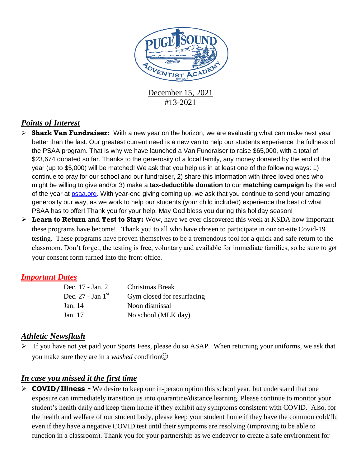

December 15, 2021 #13-2021

## *Points of Interest*

- **Shark Van Fundraiser:** With a new year on the horizon, we are evaluating what can make next year better than the last. Our greatest current need is a new van to help our students experience the fullness of the PSAA program. That is why we have launched a Van Fundraiser to raise \$65,000, with a total of \$23,674 donated so far. Thanks to the generosity of a local family, any money donated by the end of the year (up to \$5,000) will be matched! We ask that you help us in at least one of the following ways: 1) continue to pray for our school and our fundraiser, 2) share this information with three loved ones who might be willing to give and/or 3) make a **tax-deductible donation** to our **matching campaign** by the end of the year at [psaa.org.](http://psaa.org/) With year-end giving coming up, we ask that you continue to send your amazing generosity our way, as we work to help our students (your child included) experience the best of what PSAA has to offer! Thank you for your help. May God bless you during this holiday season!
- **Learn to Return** and **Test to Stay:** Wow, have we ever discovered this week at KSDA how important these programs have become! Thank you to all who have chosen to participate in our on-site Covid-19 testing. These programs have proven themselves to be a tremendous tool for a quick and safe return to the classroom. Don't forget, the testing is free, voluntary and available for immediate families, so be sure to get your consent form turned into the front office.

#### *Important Dates*

| Dec. 17 - Jan. 2      | Christmas Break            |
|-----------------------|----------------------------|
| Dec. $27$ - Jan $1st$ | Gym closed for resurfacing |
| Jan. 14               | Noon dismissal             |
| Jan. 17               | No school (MLK day)        |

#### *Athletic Newsflash*

 $\triangleright$  If you have not yet paid your Sports Fees, please do so ASAP. When returning your uniforms, we ask that you make sure they are in a *washed* condition

## *In case you missed it the first time*

 **COVID/Illness -** We desire to keep our in-person option this school year, but understand that one exposure can immediately transition us into quarantine/distance learning. Please continue to monitor your student's health daily and keep them home if they exhibit any symptoms consistent with COVID. Also, for the health and welfare of our student body, please keep your student home if they have the common cold/flu even if they have a negative COVID test until their symptoms are resolving (improving to be able to function in a classroom). Thank you for your partnership as we endeavor to create a safe environment for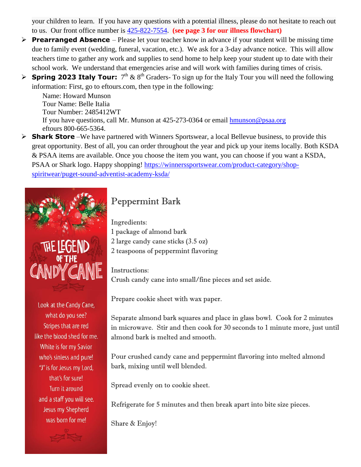your children to learn. If you have any questions with a potential illness, please do not hesitate to reach out to us. Our front office number is [425-822-7554.](tel:425-822-7554) **(see page 3 for our illness flowchart)**

- **Prearranged Absence** Please let your teacher know in advance if your student will be missing time due to family event (wedding, funeral, vacation, etc.). We ask for a 3-day advance notice. This will allow teachers time to gather any work and supplies to send home to help keep your student up to date with their school work. We understand that emergencies arise and will work with families during times of crisis.
- **Spring 2023 Italy Tour:**  $7<sup>th</sup> \& 8<sup>th</sup> Graders- To sign up for the Italy Tour you will need the following$ information: First, go to eftours.com, then type in the following:

Name: Howard Munson Tour Name: Belle Italia Tour Number: 2485412WT If you have questions, call Mr. Munson at 425-273-0364 or email [hmunson@psaa.org](mailto:hmunson@psaa.org)  eftours 800-665-5364.

 **Shark Store** –We have partnered with Winners Sportswear, a local Bellevue business, to provide this great opportunity. Best of all, you can order throughout the year and pick up your items locally. Both KSDA & PSAA items are available. Once you choose the item you want, you can choose if you want a KSDA, PSAA or Shark logo. Happy shopping! [https://winnerssportswear.com/product-category/shop](https://winnerssportswear.com/product-category/shop-spiritwear/puget-sound-adventist-academy-ksda/)[spiritwear/puget-sound-adventist-academy-ksda/](https://winnerssportswear.com/product-category/shop-spiritwear/puget-sound-adventist-academy-ksda/)



Look at the Candy Cane, what do you see? Stripes that are red like the blood shed for me. White is for my Savior who's sinless and pure! "J" is for Jesus my Lord, that's for sure! Turn it around and a staff you will see. Jesus my Shepherd was born for me!

# Peppermint Bark

Ingredients: 1 package of almond bark 2 large candy cane sticks (3.5 oz) 2 teaspoons of peppermint flavoring

Instructions: Crush candy cane into small/fine pieces and set aside.

Prepare cookie sheet with wax paper.

Separate almond bark squares and place in glass bowl. Cook for 2 minutes in microwave. Stir and then cook for 30 seconds to 1 minute more, just until almond bark is melted and smooth.

Pour crushed candy cane and peppermint flavoring into melted almond bark, mixing until well blended.

Spread evenly on to cookie sheet.

Refrigerate for 5 minutes and then break apart into bite size pieces.

Share & Enjoy!